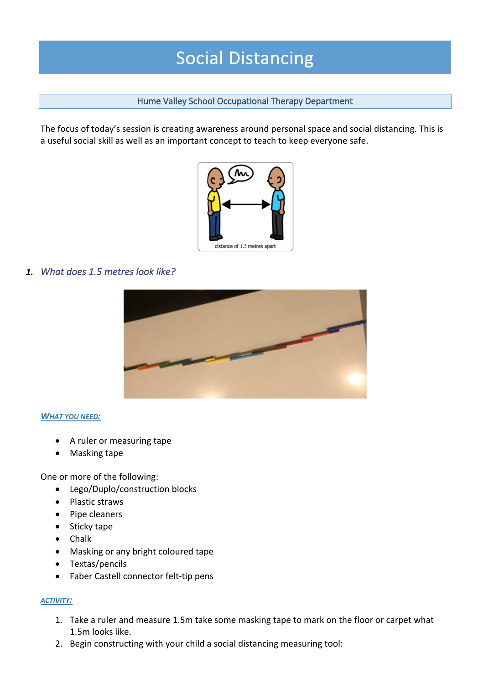# Social Distancing

## Hume Valley School Occupational Therapy Department

The focus of today's session is creating awareness around personal space and social distancing. This is a useful social skill as well as an important concept to teach to keep everyone safe.



## *1. What does 1.5 metres look like?*



### *WHAT YOU NEED:*

- A ruler or measuring tape
- Masking tape

One or more of the following:

- Lego/Duplo/construction blocks
- Plastic straws
- Pipe cleaners
- Sticky tape
- Chalk
- Masking or any bright coloured tape
- Textas/pencils
- Faber Castell connector felt-tip pens

### *ACTIVITY:*

- 1. Take a ruler and measure 1.5m take some masking tape to mark on the floor or carpet what 1.5m looks like.
- 2. Begin constructing with your child a social distancing measuring tool: